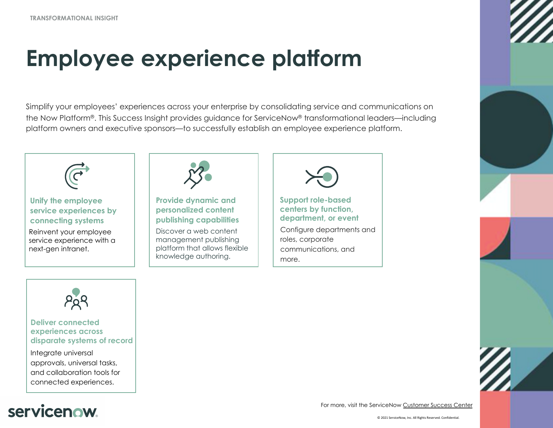**TRANSFORMATIONAL INSIGHT**

## **Employee experience platform**

Simplify your employees' experiences across your enterprise by consolidating service and communications on the Now Platform®. This Success Insight provides guidance for ServiceNow® transformational leaders—including platform owners and executive sponsors—to successfully establish an employee experience platform.



## **servicenow**

For more, visit the ServiceNow Custome